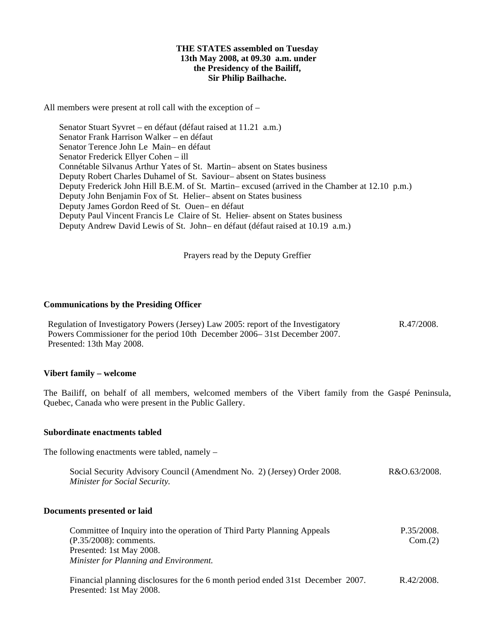#### **THE STATES assembled on Tuesday 13th May 2008, at 09.30 a.m. under the Presidency of the Bailiff, Sir Philip Bailhache.**

All members were present at roll call with the exception of –

 Senator Stuart Syvret – en défaut (défaut raised at 11.21 a.m.) Senator Frank Harrison Walker – en défaut Senator Terence John Le Main- en défaut Senator Frederick Ellyer Cohen – ill Connétable Silvanus Arthur Yates of St. Martin-absent on States business Deputy Robert Charles Duhamel of St. Saviour-absent on States business Deputy Frederick John Hill B.E.M. of St. Martin-excused (arrived in the Chamber at 12.10 p.m.) Deputy John Benjamin Fox of St. Helier-absent on States business Deputy James Gordon Reed of St. Ouen- en défaut Deputy Paul Vincent Francis Le Claire of St. Helier – absent on States business Deputy Andrew David Lewis of St. John- en défaut (défaut raised at 10.19 a.m.)

Prayers read by the Deputy Greffier

### **Communications by the Presiding Officer**

Regulation of Investigatory Powers (Jersey) Law 2005: report of the Investigatory Powers Commissioner for the period 10th December 2006 – 31st December 2007. Presented: 13th May 2008. R.47/2008.

#### **Vibert family – welcome**

The Bailiff, on behalf of all members, welcomed members of the Vibert family from the Gaspé Peninsula, Quebec, Canada who were present in the Public Gallery.

#### **Subordinate enactments tabled**

The following enactments were tabled, namely –

| Social Security Advisory Council (Amendment No. 2) (Jersey) Order 2008. | R&O.63/2008. |
|-------------------------------------------------------------------------|--------------|
| Minister for Social Security.                                           |              |

#### **Documents presented or laid**

| Committee of Inquiry into the operation of Third Party Planning Appeals | P.35/2008. |
|-------------------------------------------------------------------------|------------|
| $(P.35/2008)$ : comments.                                               | Com.(2)    |
| Presented: 1st May 2008.                                                |            |
| Minister for Planning and Environment.                                  |            |

Financial planning disclosures for the 6 month period ended 31st December 2007. Presented: 1st May 2008. R.42/2008.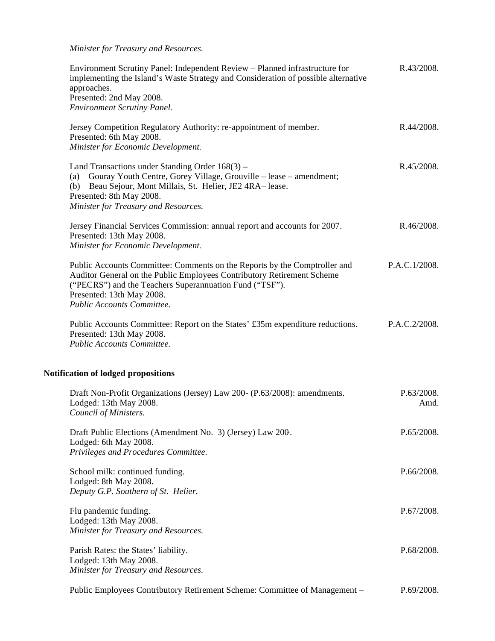*Minister for Treasury and Resources.*

| Environment Scrutiny Panel: Independent Review - Planned infrastructure for<br>implementing the Island's Waste Strategy and Consideration of possible alternative<br>approaches.<br>Presented: 2nd May 2008.<br><b>Environment Scrutiny Panel.</b>                        | R.43/2008.         |
|---------------------------------------------------------------------------------------------------------------------------------------------------------------------------------------------------------------------------------------------------------------------------|--------------------|
| Jersey Competition Regulatory Authority: re-appointment of member.<br>Presented: 6th May 2008.<br>Minister for Economic Development.                                                                                                                                      | R.44/2008.         |
| Land Transactions under Standing Order 168(3) –<br>(a) Gouray Youth Centre, Gorey Village, Grouville - lease - amendment;<br>(b) Beau Sejour, Mont Millais, St. Helier, JE2 4RA-lease.<br>Presented: 8th May 2008.<br>Minister for Treasury and Resources.                | R.45/2008.         |
| Jersey Financial Services Commission: annual report and accounts for 2007.<br>Presented: 13th May 2008.<br>Minister for Economic Development.                                                                                                                             | R.46/2008.         |
| Public Accounts Committee: Comments on the Reports by the Comptroller and<br>Auditor General on the Public Employees Contributory Retirement Scheme<br>("PECRS") and the Teachers Superannuation Fund ("TSF").<br>Presented: 13th May 2008.<br>Public Accounts Committee. | P.A.C.1/2008.      |
| Public Accounts Committee: Report on the States' £35m expenditure reductions.<br>Presented: 13th May 2008.<br>Public Accounts Committee.                                                                                                                                  | P.A.C.2/2008.      |
| Notification of lodged propositions                                                                                                                                                                                                                                       |                    |
| Draft Non-Profit Organizations (Jersey) Law 200- (P.63/2008): amendments.<br>Lodged: 13th May 2008.<br>Council of Ministers.                                                                                                                                              | P.63/2008.<br>Amd. |
| Draft Public Elections (Amendment No. 3) (Jersey) Law 200.<br>Lodged: 6th May 2008.<br>Privileges and Procedures Committee.                                                                                                                                               | P.65/2008.         |
| School milk: continued funding.<br>Lodged: 8th May 2008.<br>Deputy G.P. Southern of St. Helier.                                                                                                                                                                           | P.66/2008.         |
| Flu pandemic funding.<br>Lodged: 13th May 2008.<br>Minister for Treasury and Resources.                                                                                                                                                                                   | P.67/2008.         |
| Parish Rates: the States' liability.<br>Lodged: 13th May 2008.<br>Minister for Treasury and Resources.                                                                                                                                                                    | P.68/2008.         |
| Public Employees Contributory Retirement Scheme: Committee of Management -                                                                                                                                                                                                | P.69/2008.         |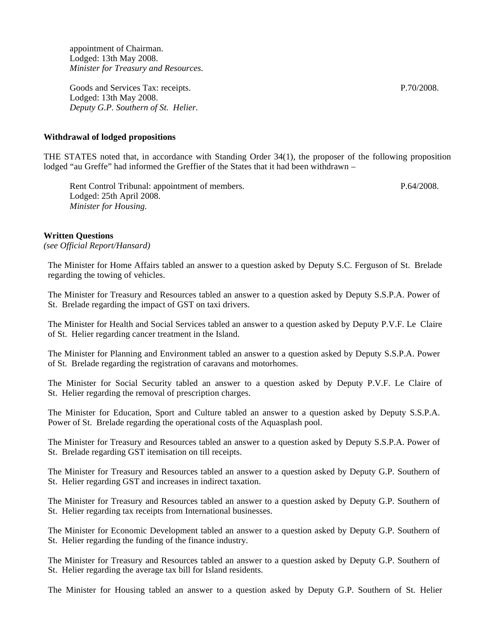appointment of Chairman. Lodged: 13th May 2008. *Minister for Treasury and Resources.*

Goods and Services Tax: receipts. Lodged: 13th May 2008. *Deputy G.P. Southern of St. Helier.*

#### **Withdrawal of lodged propositions**

THE STATES noted that, in accordance with Standing Order 34(1), the proposer of the following proposition lodged "au Greffe" had informed the Greffier of the States that it had been withdrawn –

Rent Control Tribunal: appointment of members. Lodged: 25th April 2008. *Minister for Housing.*

P.64/2008.

#### **Written Questions**

*(see Official Report/Hansard)*

The Minister for Home Affairs tabled an answer to a question asked by Deputy S.C. Ferguson of St. Brelade regarding the towing of vehicles.

The Minister for Treasury and Resources tabled an answer to a question asked by Deputy S.S.P.A. Power of St. Brelade regarding the impact of GST on taxi drivers.

The Minister for Health and Social Services tabled an answer to a question asked by Deputy P.V.F. Le Claire of St. Helier regarding cancer treatment in the Island.

The Minister for Planning and Environment tabled an answer to a question asked by Deputy S.S.P.A. Power of St. Brelade regarding the registration of caravans and motorhomes.

The Minister for Social Security tabled an answer to a question asked by Deputy P.V.F. Le Claire of St. Helier regarding the removal of prescription charges.

The Minister for Education, Sport and Culture tabled an answer to a question asked by Deputy S.S.P.A. Power of St. Brelade regarding the operational costs of the Aquasplash pool.

The Minister for Treasury and Resources tabled an answer to a question asked by Deputy S.S.P.A. Power of St. Brelade regarding GST itemisation on till receipts.

The Minister for Treasury and Resources tabled an answer to a question asked by Deputy G.P. Southern of St. Helier regarding GST and increases in indirect taxation.

The Minister for Treasury and Resources tabled an answer to a question asked by Deputy G.P. Southern of St. Helier regarding tax receipts from International businesses.

The Minister for Economic Development tabled an answer to a question asked by Deputy G.P. Southern of St. Helier regarding the funding of the finance industry.

The Minister for Treasury and Resources tabled an answer to a question asked by Deputy G.P. Southern of St. Helier regarding the average tax bill for Island residents.

The Minister for Housing tabled an answer to a question asked by Deputy G.P. Southern of St. Helier

P.70/2008.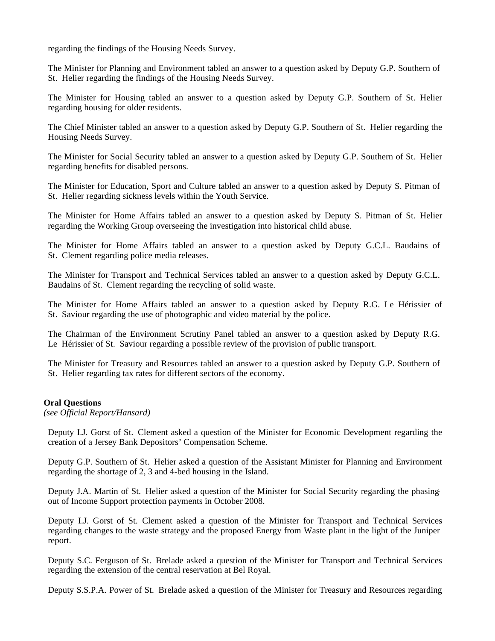regarding the findings of the Housing Needs Survey.

The Minister for Planning and Environment tabled an answer to a question asked by Deputy G.P. Southern of St. Helier regarding the findings of the Housing Needs Survey.

The Minister for Housing tabled an answer to a question asked by Deputy G.P. Southern of St. Helier regarding housing for older residents.

The Chief Minister tabled an answer to a question asked by Deputy G.P. Southern of St. Helier regarding the Housing Needs Survey.

The Minister for Social Security tabled an answer to a question asked by Deputy G.P. Southern of St. Helier regarding benefits for disabled persons.

The Minister for Education, Sport and Culture tabled an answer to a question asked by Deputy S. Pitman of St. Helier regarding sickness levels within the Youth Service.

The Minister for Home Affairs tabled an answer to a question asked by Deputy S. Pitman of St. Helier regarding the Working Group overseeing the investigation into historical child abuse.

The Minister for Home Affairs tabled an answer to a question asked by Deputy G.C.L. Baudains of St. Clement regarding police media releases.

The Minister for Transport and Technical Services tabled an answer to a question asked by Deputy G.C.L. Baudains of St. Clement regarding the recycling of solid waste.

The Minister for Home Affairs tabled an answer to a question asked by Deputy R.G. Le Hérissier of St. Saviour regarding the use of photographic and video material by the police.

The Chairman of the Environment Scrutiny Panel tabled an answer to a question asked by Deputy R.G. Le Hérissier of St. Saviour regarding a possible review of the provision of public transport.

The Minister for Treasury and Resources tabled an answer to a question asked by Deputy G.P. Southern of St. Helier regarding tax rates for different sectors of the economy.

#### **Oral Questions**

*(see Official Report/Hansard)*

Deputy I.J. Gorst of St. Clement asked a question of the Minister for Economic Development regarding the creation of a Jersey Bank Depositors' Compensation Scheme.

Deputy G.P. Southern of St. Helier asked a question of the Assistant Minister for Planning and Environment regarding the shortage of 2, 3 and 4-bed housing in the Island.

Deputy J.A. Martin of St. Helier asked a question of the Minister for Social Security regarding the phasingout of Income Support protection payments in October 2008.

Deputy I.J. Gorst of St. Clement asked a question of the Minister for Transport and Technical Services regarding changes to the waste strategy and the proposed Energy from Waste plant in the light of the Juniper report.

Deputy S.C. Ferguson of St. Brelade asked a question of the Minister for Transport and Technical Services regarding the extension of the central reservation at Bel Royal.

Deputy S.S.P.A. Power of St. Brelade asked a question of the Minister for Treasury and Resources regarding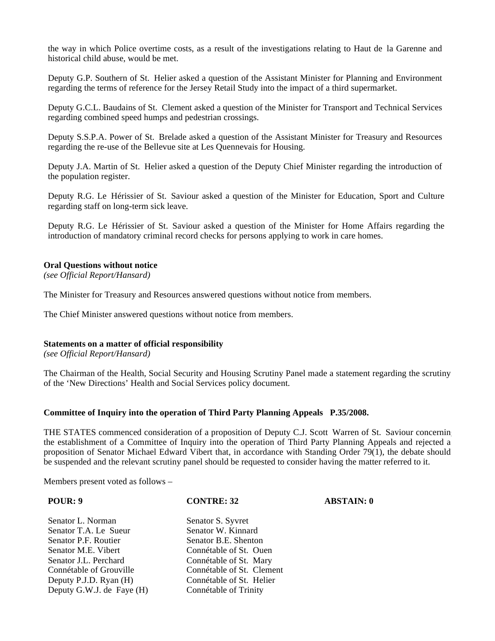the way in which Police overtime costs, as a result of the investigations relating to Haut de la Garenne and historical child abuse, would be met.

Deputy G.P. Southern of St. Helier asked a question of the Assistant Minister for Planning and Environment regarding the terms of reference for the Jersey Retail Study into the impact of a third supermarket.

Deputy G.C.L. Baudains of St. Clement asked a question of the Minister for Transport and Technical Services regarding combined speed humps and pedestrian crossings.

Deputy S.S.P.A. Power of St. Brelade asked a question of the Assistant Minister for Treasury and Resources regarding the re-use of the Bellevue site at Les Quennevais for Housing.

Deputy J.A. Martin of St. Helier asked a question of the Deputy Chief Minister regarding the introduction of the population register.

Deputy R.G. Le Hérissier of St. Saviour asked a question of the Minister for Education, Sport and Culture regarding staff on long-term sick leave.

Deputy R.G. Le Hérissier of St. Saviour asked a question of the Minister for Home Affairs regarding the introduction of mandatory criminal record checks for persons applying to work in care homes.

#### **Oral Questions without notice**

*(see Official Report/Hansard)*

The Minister for Treasury and Resources answered questions without notice from members.

The Chief Minister answered questions without notice from members.

#### **Statements on a matter of official responsibility**

*(see Official Report/Hansard)*

The Chairman of the Health, Social Security and Housing Scrutiny Panel made a statement regarding the scrutiny of the 'New Directions' Health and Social Services policy document.

#### **Committee of Inquiry into the operation of Third Party Planning Appeals P.35/2008.**

THE STATES commenced consideration of a proposition of Deputy C.J. Scott Warren of St. Saviour concerning the establishment of a Committee of Inquiry into the operation of Third Party Planning Appeals and rejected a proposition of Senator Michael Edward Vibert that, in accordance with Standing Order 79(1), the debate should be suspended and the relevant scrutiny panel should be requested to consider having the matter referred to it.

Members present voted as follows –

#### **POUR: 9 CONTRE: 32 ABSTAIN: 0**

Senator L. Norman<br>
Senator T.A. Le Sueur
Senator W. Kinnard Senator T.A. Le Sueur Senator P.F. Routier Senator B.E. Shenton Senator M.E. Vibert Connétable of St. Ouen Senator J.L. Perchard Connétable of St. Mary<br>
Connétable of Grouville Connétable of St. Clement Deputy P.J.D. Ryan  $(H)$ Deputy G.W.J. de Faye (H) Connétable of Trinity

Connétable of St. Clement<br>Connétable of St. Helier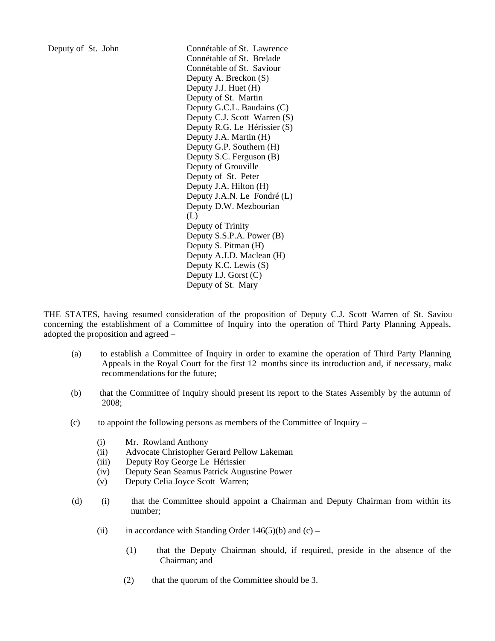Deputy of St. John Connétable of St. Lawrence Connétable of St. Brelade Connétable of St. Saviour Deputy A. Breckon (S) Deputy J.J. Huet (H) Deputy of St. Martin Deputy G.C.L. Baudains (C) Deputy C.J. Scott Warren (S) Deputy R.G. Le Hérissier (S) Deputy J.A. Martin (H) Deputy G.P. Southern (H) Deputy S.C. Ferguson (B) Deputy of Grouville Deputy of St. Peter Deputy J.A. Hilton (H) Deputy J.A.N. Le Fondré (L) Deputy D.W. Mezbourian (L) Deputy of Trinity Deputy S.S.P.A. Power (B) Deputy S. Pitman (H) Deputy A.J.D. Maclean (H) Deputy K.C. Lewis (S) Deputy I.J. Gorst (C) Deputy of St. Mary

THE STATES, having resumed consideration of the proposition of Deputy C.J. Scott Warren of St. Saviour concerning the establishment of a Committee of Inquiry into the operation of Third Party Planning Appeals, adopted the proposition and agreed –

- (a) to establish a Committee of Inquiry in order to examine the operation of Third Party Planning Appeals in the Royal Court for the first 12 months since its introduction and, if necessary, make recommendations for the future;
- (b) that the Committee of Inquiry should present its report to the States Assembly by the autumn of 2008;
- (c) to appoint the following persons as members of the Committee of Inquiry
	- (i) Mr. Rowland Anthony
	- (ii) Advocate Christopher Gerard Pellow Lakeman
	- (iii) Deputy Roy George Le Hérissier
	- (iv) Deputy Sean Seamus Patrick Augustine Power
	- (v) Deputy Celia Joyce Scott Warren;
- (d) (i) that the Committee should appoint a Chairman and Deputy Chairman from within its number;
	- (ii) in accordance with Standing Order  $146(5)(b)$  and (c)
		- (1) that the Deputy Chairman should, if required, preside in the absence of the Chairman; and
		- (2) that the quorum of the Committee should be 3.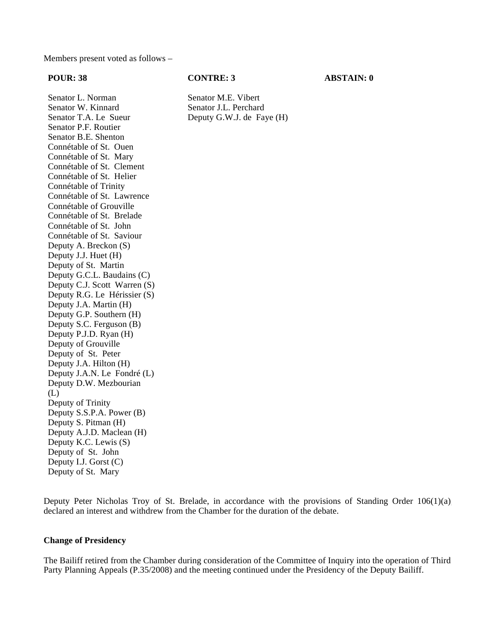Members present voted as follows –

#### **POUR: 38 CONTRE: 3 ABSTAIN: 0**

Deputy G.W.J. de Faye (H)

Senator L. Norman<br>
Senator W. Kinnard<br>
Senator J.L. Perchard Senator W. Kinnard<br>
Senator T.A. Le Sueur<br>
Deputy G.W.J. de Fa Senator P.F. Routier Senator B.E. Shenton Connétable of St. Ouen Connétable of St. Mary Connétable of St. Clement Connétable of St. Helier Connétable of Trinity Connétable of St. Lawrence Connétable of Grouville Connétable of St. Brelade Connétable of St. John Connétable of St. Saviour Deputy A. Breckon (S) Deputy J.J. Huet (H) Deputy of St. Martin Deputy G.C.L. Baudains (C) Deputy C.J. Scott Warren (S) Deputy R.G. Le Hérissier (S) Deputy J.A. Martin (H) Deputy G.P. Southern (H) Deputy S.C. Ferguson (B) Deputy P.J.D. Ryan (H) Deputy of Grouville Deputy of St. Peter Deputy J.A. Hilton (H) Deputy J.A.N. Le Fondré (L) Deputy D.W. Mezbourian (L) Deputy of Trinity Deputy S.S.P.A. Power (B) Deputy S. Pitman (H) Deputy A.J.D. Maclean (H) Deputy K.C. Lewis (S) Deputy of St. John Deputy I.J. Gorst (C) Deputy of St. Mary

Deputy Peter Nicholas Troy of St. Brelade, in accordance with the provisions of Standing Order 106(1)(a) declared an interest and withdrew from the Chamber for the duration of the debate.

#### **Change of Presidency**

The Bailiff retired from the Chamber during consideration of the Committee of Inquiry into the operation of Third Party Planning Appeals (P.35/2008) and the meeting continued under the Presidency of the Deputy Bailiff.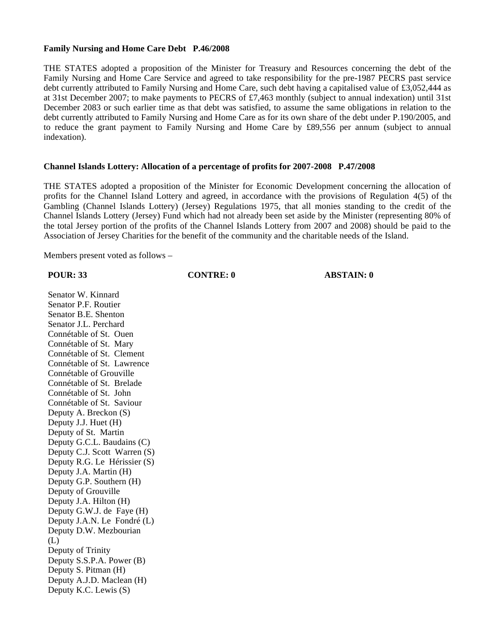### **Family Nursing and Home Care Debt P.46/2008**

THE STATES adopted a proposition of the Minister for Treasury and Resources concerning the debt of the Family Nursing and Home Care Service and agreed to take responsibility for the pre-1987 PECRS past service debt currently attributed to Family Nursing and Home Care, such debt having a capitalised value of £3,052,444 as at 31st December 2007; to make payments to PECRS of £7,463 monthly (subject to annual indexation) until 31st December 2083 or such earlier time as that debt was satisfied, to assume the same obligations in relation to the debt currently attributed to Family Nursing and Home Care as for its own share of the debt under P.190/2005, and to reduce the grant payment to Family Nursing and Home Care by £89,556 per annum (subject to annual indexation).

### **Channel Islands Lottery: Allocation of a percentage of profits for 2007-2008 P.47/2008**

THE STATES adopted a proposition of the Minister for Economic Development concerning the allocation of profits for the Channel Island Lottery and agreed, in accordance with the provisions of Regulation 4(5) of the Gambling (Channel Islands Lottery) (Jersey) Regulations 1975, that all monies standing to the credit of the Channel Islands Lottery (Jersey) Fund which had not already been set aside by the Minister (representing 80% of the total Jersey portion of the profits of the Channel Islands Lottery from 2007 and 2008) should be paid to the Association of Jersey Charities for the benefit of the community and the charitable needs of the Island.

Members present voted as follows –

**POUR: 33 CONTRE: 0 ABSTAIN: 0**

Senator W. Kinnard Senator P.F. Routier Senator B.E. Shenton Senator J.L. Perchard Connétable of St. Ouen Connétable of St. Mary Connétable of St. Clement Connétable of St. Lawrence Connétable of Grouville Connétable of St. Brelade Connétable of St. John Connétable of St. Saviour Deputy A. Breckon (S) Deputy J.J. Huet (H) Deputy of St. Martin Deputy G.C.L. Baudains (C) Deputy C.J. Scott Warren (S) Deputy R.G. Le Hérissier (S) Deputy J.A. Martin (H) Deputy G.P. Southern (H) Deputy of Grouville Deputy J.A. Hilton (H) Deputy G.W.J. de Faye (H) Deputy J.A.N. Le Fondré (L) Deputy D.W. Mezbourian (L) Deputy of Trinity Deputy S.S.P.A. Power (B) Deputy S. Pitman (H) Deputy A.J.D. Maclean (H) Deputy K.C. Lewis (S)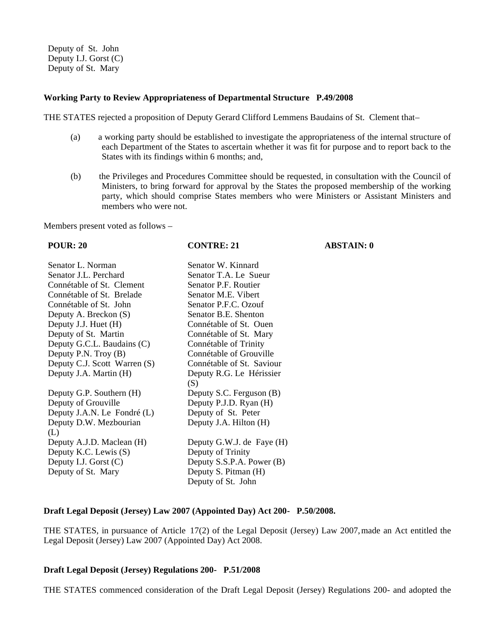Deputy of St. John Deputy I.J. Gorst (C) Deputy of St. Mary

### **Working Party to Review Appropriateness of Departmental Structure P.49/2008**

THE STATES rejected a proposition of Deputy Gerard Clifford Lemmens Baudains of St. Clement that –

- (a) a working party should be established to investigate the appropriateness of the internal structure of each Department of the States to ascertain whether it was fit for purpose and to report back to the States with its findings within 6 months; and,
- (b) the Privileges and Procedures Committee should be requested, in consultation with the Council of Ministers, to bring forward for approval by the States the proposed membership of the working party, which should comprise States members who were Ministers or Assistant Ministers and members who were not.

Members present voted as follows –

| <b>POUR: 20</b>              | <b>CONTRE: 21</b>         | <b>ABSTAIN: 0</b> |
|------------------------------|---------------------------|-------------------|
| Senator L. Norman            | Senator W. Kinnard        |                   |
| Senator J.L. Perchard        | Senator T.A. Le Sueur     |                   |
| Connétable of St. Clement    | Senator P.F. Routier      |                   |
| Connétable of St. Brelade    | Senator M.E. Vibert       |                   |
| Connétable of St. John       | Senator P.F.C. Ozouf      |                   |
| Deputy A. Breckon (S)        | Senator B.E. Shenton      |                   |
| Deputy J.J. Huet (H)         | Connétable of St. Ouen    |                   |
| Deputy of St. Martin         | Connétable of St. Mary    |                   |
| Deputy G.C.L. Baudains (C)   | Connétable of Trinity     |                   |
| Deputy P.N. Troy $(B)$       | Connétable of Grouville   |                   |
| Deputy C.J. Scott Warren (S) | Connétable of St. Saviour |                   |
| Deputy J.A. Martin (H)       | Deputy R.G. Le Hérissier  |                   |
|                              | (S)                       |                   |
| Deputy G.P. Southern (H)     | Deputy S.C. Ferguson (B)  |                   |
| Deputy of Grouville          | Deputy P.J.D. Ryan (H)    |                   |
| Deputy J.A.N. Le Fondré (L)  | Deputy of St. Peter       |                   |
| Deputy D.W. Mezbourian       | Deputy J.A. Hilton (H)    |                   |
| (L)                          |                           |                   |
| Deputy A.J.D. Maclean (H)    | Deputy G.W.J. de Faye (H) |                   |
| Deputy K.C. Lewis (S)        | Deputy of Trinity         |                   |
| Deputy I.J. Gorst $(C)$      | Deputy S.S.P.A. Power (B) |                   |
| Deputy of St. Mary           | Deputy S. Pitman (H)      |                   |
|                              | Deputy of St. John        |                   |

#### **Draft Legal Deposit (Jersey) Law 2007 (Appointed Day) Act 200- P.50/2008.**

THE STATES, in pursuance of Article 17(2) of the Legal Deposit (Jersey) Law 2007,made an Act entitled the Legal Deposit (Jersey) Law 2007 (Appointed Day) Act 2008.

#### **Draft Legal Deposit (Jersey) Regulations 200- P.51/2008**

THE STATES commenced consideration of the Draft Legal Deposit (Jersey) Regulations 200- and adopted the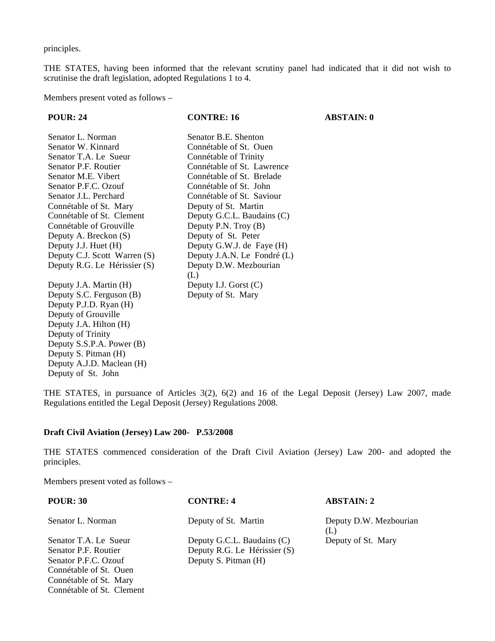principles.

THE STATES, having been informed that the relevant scrutiny panel had indicated that it did not wish to scrutinise the draft legislation, adopted Regulations 1 to 4.

Members present voted as follows –

| <b>POUR: 24</b>              | <b>CONTRE: 16</b>           | <b>ABSTAIN: 0</b> |
|------------------------------|-----------------------------|-------------------|
| Senator L. Norman            | Senator B.E. Shenton        |                   |
| Senator W. Kinnard           | Connétable of St. Ouen      |                   |
| Senator T.A. Le Sueur        | Connétable of Trinity       |                   |
| Senator P.F. Routier         | Connétable of St. Lawrence  |                   |
| Senator M.E. Vibert          | Connétable of St. Brelade   |                   |
| Senator P.F.C. Ozouf         | Connétable of St. John      |                   |
| Senator J.L. Perchard        | Connétable of St. Saviour   |                   |
| Connétable of St. Mary       | Deputy of St. Martin        |                   |
| Connétable of St. Clement    | Deputy G.C.L. Baudains (C)  |                   |
| Connétable of Grouville      | Deputy P.N. Troy (B)        |                   |
| Deputy A. Breckon (S)        | Deputy of St. Peter         |                   |
| Deputy J.J. Huet (H)         | Deputy G.W.J. de Faye (H)   |                   |
| Deputy C.J. Scott Warren (S) | Deputy J.A.N. Le Fondré (L) |                   |
| Deputy R.G. Le Hérissier (S) | Deputy D.W. Mezbourian      |                   |
|                              | (L)                         |                   |
| Deputy J.A. Martin (H)       | Deputy I.J. Gorst $(C)$     |                   |
| Deputy S.C. Ferguson (B)     | Deputy of St. Mary          |                   |
| Deputy P.J.D. Ryan (H)       |                             |                   |
| Deputy of Grouville          |                             |                   |
| Deputy J.A. Hilton (H)       |                             |                   |

THE STATES, in pursuance of Articles 3(2), 6(2) and 16 of the Legal Deposit (Jersey) Law 2007, made Regulations entitled the Legal Deposit (Jersey) Regulations 2008.

## **Draft Civil Aviation (Jersey) Law 200- P.53/2008**

THE STATES commenced consideration of the Draft Civil Aviation (Jersey) Law 200- and adopted the principles.

Members present voted as follows –

Connétable of St. Clement

Deputy of Trinity

Deputy of St. John

Deputy S.S.P.A. Power (B) Deputy S. Pitman (H) Deputy A.J.D. Maclean (H)

| <b>POUR: 30</b>        | <b>CONTRE: 4</b>             | <b>ABSTAIN: 2</b>             |
|------------------------|------------------------------|-------------------------------|
| Senator L. Norman      | Deputy of St. Martin         | Deputy D.W. Mezbourian<br>(L) |
| Senator T.A. Le Sueur  | Deputy G.C.L. Baudains (C)   | Deputy of St. Mary            |
| Senator P.F. Routier   | Deputy R.G. Le Hérissier (S) |                               |
| Senator P.F.C. Ozouf   | Deputy S. Pitman (H)         |                               |
| Connétable of St. Ouen |                              |                               |
| Connétable of St. Mary |                              |                               |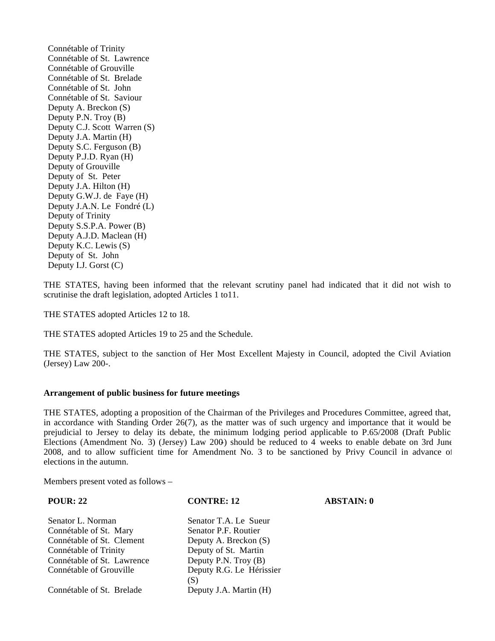Connétable of Trinity Connétable of St. Lawrence Connétable of Grouville Connétable of St. Brelade Connétable of St. John Connétable of St. Saviour Deputy A. Breckon (S) Deputy P.N. Troy (B) Deputy C.J. Scott Warren (S) Deputy J.A. Martin (H) Deputy S.C. Ferguson (B) Deputy P.J.D. Ryan (H) Deputy of Grouville Deputy of St. Peter Deputy J.A. Hilton (H) Deputy G.W.J. de Faye (H) Deputy J.A.N. Le Fondré (L) Deputy of Trinity Deputy S.S.P.A. Power (B) Deputy A.J.D. Maclean (H) Deputy K.C. Lewis (S) Deputy of St. John Deputy I.J. Gorst (C)

THE STATES, having been informed that the relevant scrutiny panel had indicated that it did not wish to scrutinise the draft legislation, adopted Articles 1 to 11.

THE STATES adopted Articles 12 to 18.

THE STATES adopted Articles 19 to 25 and the Schedule.

THE STATES, subject to the sanction of Her Most Excellent Majesty in Council, adopted the Civil Aviation (Jersey) Law 200-.

#### **Arrangement of public business for future meetings**

THE STATES, adopting a proposition of the Chairman of the Privileges and Procedures Committee, agreed that, in accordance with Standing Order 26(7), as the matter was of such urgency and importance that it would be prejudicial to Jersey to delay its debate, the minimum lodging period applicable to P.65/2008 (Draft Public Elections (Amendment No. 3) (Jersey) Law  $200$ ) should be reduced to 4 weeks to enable debate on 3rd June 2008, and to allow sufficient time for Amendment No. 3 to be sanctioned by Privy Council in advance of elections in the autumn.

Members present voted as follows –

| <b>POUR: 22</b>            | <b>CONTRE: 12</b>        | <b>ABSTAIN: 0</b> |
|----------------------------|--------------------------|-------------------|
| Senator L. Norman          | Senator T.A. Le Sueur    |                   |
| Connétable of St. Mary     | Senator P.F. Routier     |                   |
| Connétable of St. Clement  | Deputy A. Breckon (S)    |                   |
| Connétable of Trinity      | Deputy of St. Martin     |                   |
| Connétable of St. Lawrence | Deputy P.N. Troy (B)     |                   |
| Connétable of Grouville    | Deputy R.G. Le Hérissier |                   |
|                            | (S)                      |                   |
| Connétable of St. Brelade  | Deputy J.A. Martin (H)   |                   |
|                            |                          |                   |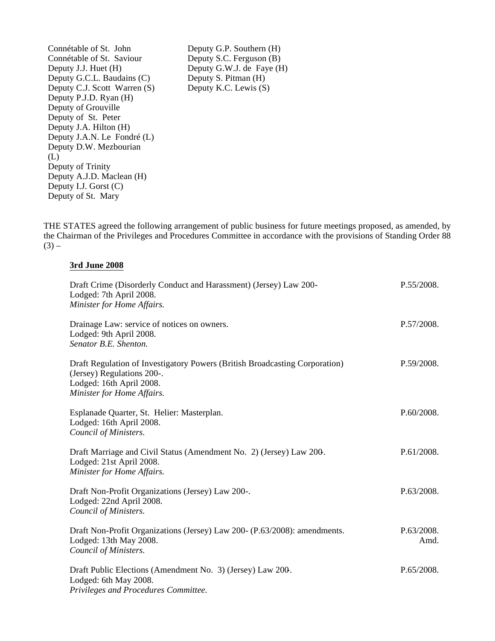Connétable of St. John Deputy G.P. Southern (H)<br>Connétable of St. Saviour Deputy S.C. Ferguson (B) Connétable of St. Saviour<br>Deputy J.J. Huet (H) Deputy G.C.L. Baudains  $(C)$ Deputy C.J. Scott Warren (S) Deputy K.C. Lewis (S) Deputy P.J.D. Ryan (H) Deputy of Grouville Deputy of St. Peter Deputy J.A. Hilton (H) Deputy J.A.N. Le Fondré (L) Deputy D.W. Mezbourian  $(L)$ Deputy of Trinity Deputy A.J.D. Maclean (H) Deputy I.J. Gorst (C) Deputy of St. Mary

Deputy G.W.J. de Faye (H)<br>Deputy S. Pitman (H)

THE STATES agreed the following arrangement of public business for future meetings proposed, as amended, by the Chairman of the Privileges and Procedures Committee in accordance with the provisions of Standing Order 88  $(3)$  –

#### **3rd June 2008**

| Draft Crime (Disorderly Conduct and Harassment) (Jersey) Law 200-<br>Lodged: 7th April 2008.<br>Minister for Home Affairs.                                          | P.55/2008.         |
|---------------------------------------------------------------------------------------------------------------------------------------------------------------------|--------------------|
| Drainage Law: service of notices on owners.<br>Lodged: 9th April 2008.<br>Senator B.E. Shenton.                                                                     | P.57/2008.         |
| Draft Regulation of Investigatory Powers (British Broadcasting Corporation)<br>(Jersey) Regulations 200-.<br>Lodged: 16th April 2008.<br>Minister for Home Affairs. | P.59/2008.         |
| Esplanade Quarter, St. Helier: Masterplan.<br>Lodged: 16th April 2008.<br>Council of Ministers.                                                                     | P.60/2008.         |
| Draft Marriage and Civil Status (Amendment No. 2) (Jersey) Law 200.<br>Lodged: 21st April 2008.<br>Minister for Home Affairs.                                       | P.61/2008.         |
| Draft Non-Profit Organizations (Jersey) Law 200-.<br>Lodged: 22nd April 2008.<br>Council of Ministers.                                                              | P.63/2008.         |
| Draft Non-Profit Organizations (Jersey) Law 200- (P.63/2008): amendments.<br>Lodged: 13th May 2008.<br>Council of Ministers.                                        | P.63/2008.<br>Amd. |
| Draft Public Elections (Amendment No. 3) (Jersey) Law 200.<br>Lodged: 6th May 2008.<br>Privileges and Procedures Committee.                                         | P.65/2008.         |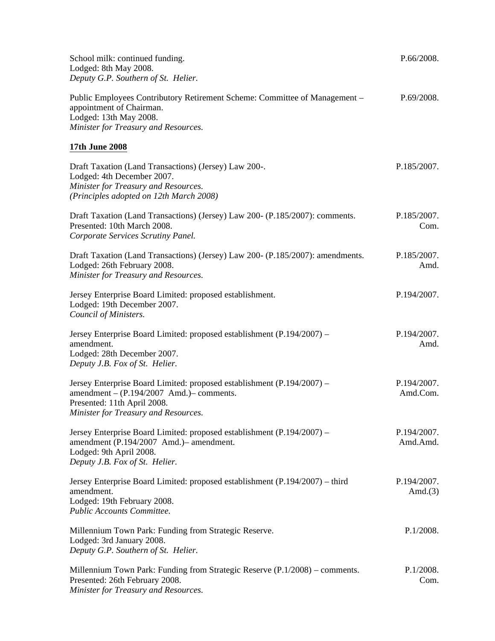| School milk: continued funding.<br>Lodged: 8th May 2008.<br>Deputy G.P. Southern of St. Helier.                                                                                                | P.66/2008.                |
|------------------------------------------------------------------------------------------------------------------------------------------------------------------------------------------------|---------------------------|
| Public Employees Contributory Retirement Scheme: Committee of Management -<br>appointment of Chairman.<br>Lodged: 13th May 2008.<br>Minister for Treasury and Resources.                       | P.69/2008.                |
| 17th June 2008                                                                                                                                                                                 |                           |
| Draft Taxation (Land Transactions) (Jersey) Law 200-.<br>Lodged: 4th December 2007.<br>Minister for Treasury and Resources.<br>(Principles adopted on 12th March 2008)                         | P.185/2007.               |
| Draft Taxation (Land Transactions) (Jersey) Law 200- (P.185/2007): comments.<br>Presented: 10th March 2008.<br>Corporate Services Scrutiny Panel.                                              | P.185/2007.<br>Com.       |
| Draft Taxation (Land Transactions) (Jersey) Law 200- (P.185/2007): amendments.<br>Lodged: 26th February 2008.<br>Minister for Treasury and Resources.                                          | P.185/2007.<br>Amd.       |
| Jersey Enterprise Board Limited: proposed establishment.<br>Lodged: 19th December 2007.<br>Council of Ministers.                                                                               | P.194/2007.               |
| Jersey Enterprise Board Limited: proposed establishment (P.194/2007) –<br>amendment.<br>Lodged: 28th December 2007.<br>Deputy J.B. Fox of St. Helier.                                          | P.194/2007.<br>Amd.       |
| Jersey Enterprise Board Limited: proposed establishment (P.194/2007) –<br>amendment $- (P.194/2007$ Amd.) $-$ comments.<br>Presented: 11th April 2008.<br>Minister for Treasury and Resources. | P.194/2007.<br>Amd.Com.   |
| Jersey Enterprise Board Limited: proposed establishment (P.194/2007) –<br>amendment (P.194/2007 Amd.)- amendment.<br>Lodged: 9th April 2008.<br>Deputy J.B. Fox of St. Helier.                 | P.194/2007.<br>Amd.Amd.   |
| Jersey Enterprise Board Limited: proposed establishment (P.194/2007) – third<br>amendment.<br>Lodged: 19th February 2008.<br>Public Accounts Committee.                                        | P.194/2007.<br>Amd. $(3)$ |
| Millennium Town Park: Funding from Strategic Reserve.<br>Lodged: 3rd January 2008.<br>Deputy G.P. Southern of St. Helier.                                                                      | P.1/2008.                 |
| Millennium Town Park: Funding from Strategic Reserve (P.1/2008) – comments.<br>Presented: 26th February 2008.<br>Minister for Treasury and Resources.                                          | P.1/2008.<br>Com.         |